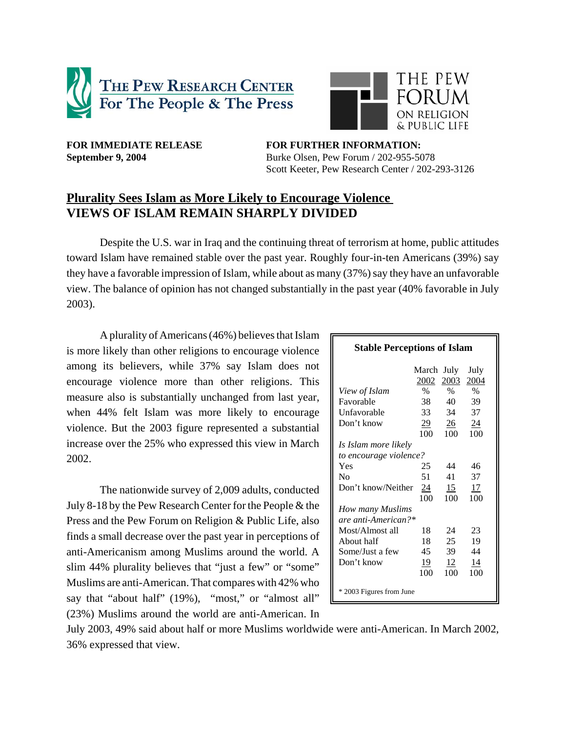



FOR IMMEDIATE RELEASE **FOR FURTHER INFORMATION: September 9, 2004** Burke Olsen, Pew Forum / 202-955-5078 Scott Keeter, Pew Research Center / 202-293-3126

# **Plurality Sees Islam as More Likely to Encourage Violence VIEWS OF ISLAM REMAIN SHARPLY DIVIDED**

Despite the U.S. war in Iraq and the continuing threat of terrorism at home, public attitudes toward Islam have remained stable over the past year. Roughly four-in-ten Americans (39%) say they have a favorable impression of Islam, while about as many (37%) say they have an unfavorable view. The balance of opinion has not changed substantially in the past year (40% favorable in July 2003).

A plurality of Americans (46%) believes that Islam is more likely than other religions to encourage violence among its believers, while 37% say Islam does not encourage violence more than other religions. This measure also is substantially unchanged from last year, when 44% felt Islam was more likely to encourage violence. But the 2003 figure represented a substantial increase over the 25% who expressed this view in March 2002.

The nationwide survey of 2,009 adults, conducted July 8-18 by the Pew Research Center for the People & the Press and the Pew Forum on Religion & Public Life, also finds a small decrease over the past year in perceptions of anti-Americanism among Muslims around the world. A slim 44% plurality believes that "just a few" or "some" Muslims are anti-American. That compares with 42% who say that "about half" (19%), "most," or "almost all" (23%) Muslims around the world are anti-American. In

| <b>Stable Perceptions of Islam</b> |                    |                |              |  |
|------------------------------------|--------------------|----------------|--------------|--|
|                                    | March July<br>2002 | 2003           | July<br>2004 |  |
| View of Islam                      | $\%$               | $\%$           | $\%$         |  |
| Favorable                          | 38                 | 40             | 39           |  |
| Unfavorable                        | 33                 | 34             | 37           |  |
| Don't know                         | $\overline{29}$    | $\frac{26}{5}$ | 24           |  |
|                                    | 100                | 100            | 100          |  |
| Is Islam more likely               |                    |                |              |  |
| to encourage violence?             |                    |                |              |  |
| Yes                                | 25                 | 44             | 46           |  |
| No                                 | 51                 | 41             | 37           |  |
| Don't know/Neither                 | 24                 | 15             | 17           |  |
|                                    | 100                | 100            | 100          |  |
| How many Muslims                   |                    |                |              |  |
| are anti-American?*                |                    |                |              |  |
| Most/Almost all                    | 18                 | 24             | 23           |  |
| About half                         | 18                 | 25             | 19           |  |
| Some/Just a few                    | 45                 | 39             | 44           |  |
| Don't know                         | 19                 | 12             | 14           |  |
|                                    | 100                | 100            | 100          |  |
| * 2003 Figures from June           |                    |                |              |  |

July 2003, 49% said about half or more Muslims worldwide were anti-American. In March 2002, 36% expressed that view.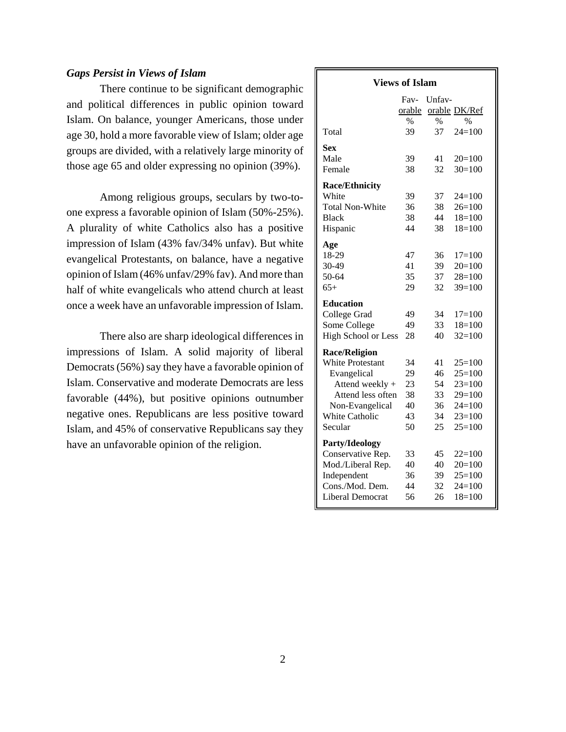# *Gaps Persist in Views of Islam*

There continue to be significant demographic and political differences in public opinion toward Islam. On balance, younger Americans, those under age 30, hold a more favorable view of Islam; older age groups are divided, with a relatively large minority of those age 65 and older expressing no opinion (39%).

Among religious groups, seculars by two-toone express a favorable opinion of Islam (50%-25%). A plurality of white Catholics also has a positive impression of Islam (43% fav/34% unfav). But white evangelical Protestants, on balance, have a negative opinion of Islam (46% unfav/29% fav). And more than half of white evangelicals who attend church at least once a week have an unfavorable impression of Islam.

There also are sharp ideological differences in impressions of Islam. A solid majority of liberal Democrats (56%) say they have a favorable opinion of Islam. Conservative and moderate Democrats are less favorable (44%), but positive opinions outnumber negative ones. Republicans are less positive toward Islam, and 45% of conservative Republicans say they have an unfavorable opinion of the religion.

| <b>Views of Islam</b>      |                     |            |                  |
|----------------------------|---------------------|------------|------------------|
|                            | Fav-                | Unfav-     |                  |
|                            | orable              |            | orable DK/Ref    |
| Total                      | $\frac{0}{0}$<br>39 | $\%$<br>37 | $\%$<br>$24=100$ |
| Sex                        |                     |            |                  |
| Male                       | 39                  | 41         | $20=100$         |
| Female                     | 38                  | 32         | $30=100$         |
| <b>Race/Ethnicity</b>      |                     |            |                  |
| White                      | 39                  | 37         | $24=100$         |
| <b>Total Non-White</b>     | 36                  | 38         | $26=100$         |
| <b>Black</b>               | 38                  | 44         | $18=100$         |
| Hispanic                   | 44                  | 38         | $18=100$         |
| Age                        |                     |            |                  |
| 18-29                      | 47                  | 36         | $17 = 100$       |
| 30-49                      | 41                  | 39         | $20=100$         |
| 50-64                      | 35                  | 37         | $28=100$         |
| $65+$                      | 29                  | 32         | $39=100$         |
| <b>Education</b>           |                     |            |                  |
| College Grad               | 49                  | 34         | $17=100$         |
| Some College               | 49                  | 33         | $18=100$         |
| <b>High School or Less</b> | 28                  | 40         | $32=100$         |
| <b>Race/Religion</b>       |                     |            |                  |
| <b>White Protestant</b>    | 34                  | 41         | $25=100$         |
| Evangelical                | 29                  | 46         | $25=100$         |
| Attend weekly +            | 23                  | 54         | $23=100$         |
| Attend less often          | 38                  | 33         | $29=100$         |
| Non-Evangelical            | 40                  | 36         | $24=100$         |
| <b>White Catholic</b>      | 43                  | 34         | $23=100$         |
| Secular                    | 50                  | 25         | $25=100$         |
| Party/Ideology             |                     |            |                  |
| Conservative Rep.          | 33                  | 45         | $22=100$         |
| Mod./Liberal Rep.          | 40                  | 40         | $20=100$         |
| Independent                | 36                  | 39         | $25=100$         |
| Cons./Mod. Dem.            | 44                  | 32         | $24=100$         |
| Liberal Democrat           | 56                  | 26         | $18=100$         |